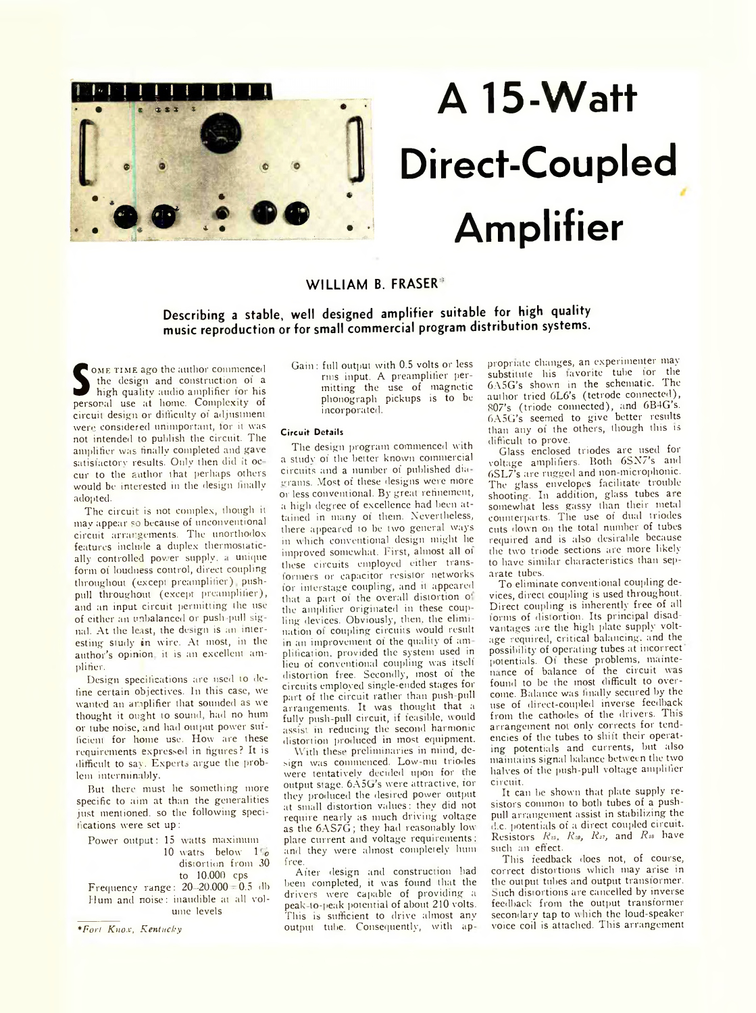

# **A 15-Watt Direct-Coupled Amplifier**

# WILLIAM B. FRASER<sup>®</sup>

**Describing a stable, well designed amplifier suitable for high quality music reproduction or for small commercial program distribution systems.**

**S** the design and construction of a high quality audio amplifier for his personal use at home. Complexity of ome TIME ago the author commenced the design and construction of a high quality audio amplifier for his circuit design or difficulty of adjustment were considered unimportant, for it was not intended to publish the circuit. The amplifier was finally completed and gave satisfactory results. Only then did it occur to the author that perhaps others would be interested in the design finally adopted.

The circuit is not complex, though it may appear so because of unconventional circuit arrangements. The unorthodox features include a duplex thermostatically controlled pov.er supply, *i* unique form of loudness control, direct coupling throughout (except preamplifier) pushpull throughout (except preamplifier), and an input circuit permitting the use of either an unbalanced or push -pull signal. At the least, the design is an interesting study in wire. At most, in the author's opinion it is an excellent amplifier.

Design specifications are used to define certain objectives. In this case, w'e wanted an amplifier that sounded as we thought it ought to sound, had no hum or tube noise, and had output power sufficient for home use. How are these requirements expressed in figures? It is difficult to say. Experts argue the problem interminably.

But there must he something more specific to aim at than the generalities just mentioned, so the following specifications were set up:

Power output: 15 watts maximum 10 watts below 1 c distortion from 30 to 10.000 cps Frequency range:  $20 - 20.000 = 0.5$  db

Hum and noise: inaudible at all volume levels

*\*Fort Knox, Kentucky*

Gain : full output with 0.5 volts or less mis input. A preamplifier permitting the use of magnetic phonograph pickups is to be incorporated.

## **Circu it Details**

The design program commenced with a studv of the better known commercial circuits and a number of published dia grams. Most of these designs were more or less conventional. By great refinement, a high degree of excellence had been attained in many of them. Nevertheless, there appeared to be two general ways in which conventional design might he improved somewhat. First, almost all ot these circuits employed either transformers or capacitor resistor networks for interstage coupling, and it appeared that a part of the overall distortion o' the amplifier originated in these coupling devices. Obviously, then, the elimination of coupling circuits would result in an improvement of the quality of amplification, provided the system used in lieu of conventional coupling was itself distortion free. Secondly, most of the circuits employed single-ended stages for part of the circuit rather than push-pull arrangements. It was thought that a fully push-pull circuit, if feasible, would assist m reducing the second harmonic distortion produced in most equipment.

With these preliminaries in mind, design was commenced. Low-mu triodes were tentatively decided upon for the output stage. 6A5G's were attractive, for they produced the desired power output at small distortion values: they did not require nearly as much driving voltage as the 6AS7G; they had reasonably low plate current and voltage requirements: and they were almost completely hum free

After design and construction had been completed, it was found that the drivers were capable of providing a peak-to-peak potential of about 210 volts. This is sufficient to drive almost any output tube. Consequently, with appropriate changes, an experimenter may substitute his tavorite tube for the 6A5G's shown in the schematic. The author tried GL6's (tetrode connected), R07's (triode connected), and 6B4G's. 6A5G's seemed to give better results than any of the others, though this is difficult to prove.

Glass enclosed triodes are used for voltage amplifiers. Both 6SX7's and 6SL7's are rugged and non-microphonic. The glass envelopes facilitate trouble shooting. In addition, glass tubes are somewhat less gassy than their metal counterparts. The use of dual triodes cuts down on the total number of tubes required and is also desirable because the two triode sections are more likely to have similar characteristics than separate tubes.

To eliminate conventional coupling devices, direct coupling is used throughout. Direct coupling is inherently free of all forms of distortion. Its principal disadvantages are the high plate supply voltage required, critical balancing, and the possibility of operating tubes at incorrect potentials. Of these problems, maintenance of balance of the circuit was found to be the most difficult to overcome. Balance was finally secured by the use of direct-coupled inverse feedback from the cathodes of the drivers. This arrangement not only corrects for tendencies of the tubes to shift their operating potentials and currents, but also maintains signal balance between the two halves of the push-pull voltage amplifier circuit.

It can be shown that plate supply resistors common to both tubes of a pushpull arrangement assist in stabilizing the d.c. potentials of a direct coupled circuit. Resistors  $R_{25}$ ,  $R_{29}$ ,  $R_{37}$ , and  $R_{38}$  have such an effect.

This feedback does not, of course, correct distortions which may arise in the output tubes and output transformer. Such disiortions are cancelled by inverse feedback from the output transformer secondary tap to which the loud-speaker voice coil is attached. This arrangement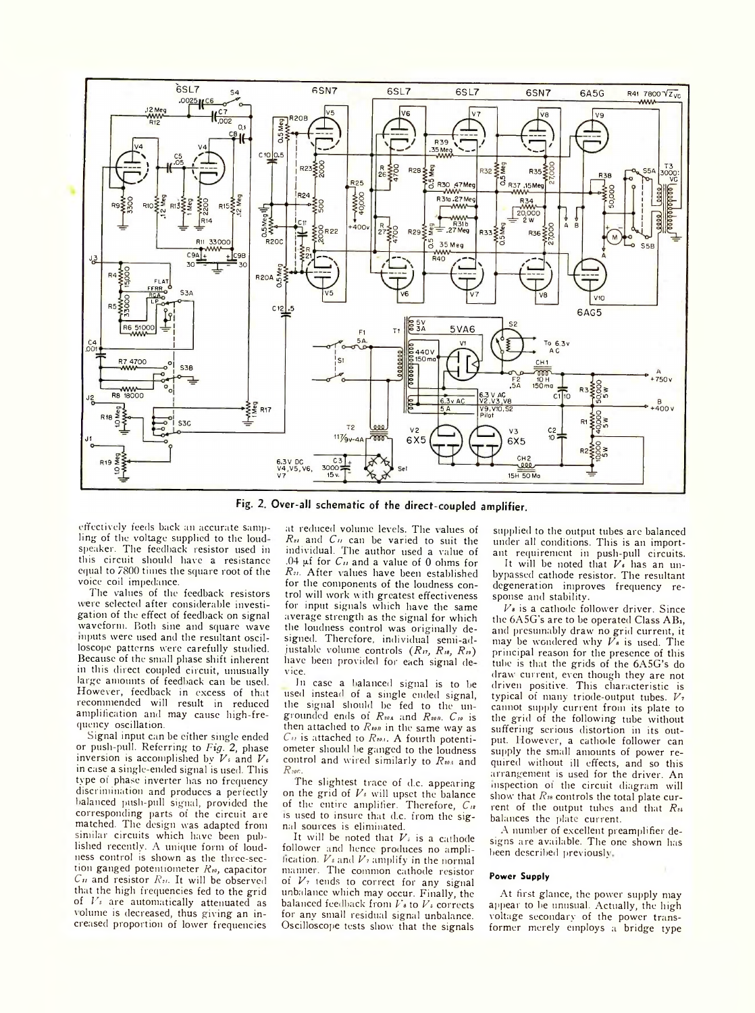

Fig. 2. Over-all schematic of the direct-coupled amplifier.

effectively feeds back an accurate sampling- of the voltage supplied to the loudspeaker. The feedback resistor used in this circuit should have a resistance equal to 7800 times the square root of the voice coil impedance.

The values of the feedback resistors were selected after considerable investigation of the effect of feedback on signal waveform. Both sine and square wave inputs were used and the resultant oscilloscope patterns were carefully studied. Because of the small phase shift inherent in this direct coupled circuit, unusually large amounts of feedback can be used. However, feedback in excess of that recommended will result in reduced amplification and may cause high-frequency oscillation.

Signal input can be either single ended or push-pull. Referring to *Fig.* 2, phase inversion is accomplished by *Vs* and *Vs* in case a single-ended signal is used. This type of phase inverter has no frequency discrimination and produces a perfectly balanced push-pull signal, provided the corresponding parts of the circuit are matched. The design was adapted from similar circuits which have been published recently. A unique form of loudness control is shown as the three-section ganged potentiometer  $R_{10}$ , capacitor *Cu* and resistor *Ru.* It will be observed that the high frequencies fed to the grid of *Vs* are automatically attenuated as volume is decreased, thus giving an increased proportion of lower frequencies

at reduced volume levels. The values of *Rn* and *Cu* can be varied to suit the individual. The author used a value of .04 pf for *Cu* and a value of 0 ohms for *Ru.* After values have been established for the components of the loudness control will work with greatest effectiveness for input signals which have the same average strength as the signal for which the loudness control was originally designed. Therefore, individual semi-adjustable volume controls (R<sub>17</sub>, R<sub>18</sub>, R<sub>19</sub>) have been provided for each signal device.

In case a balanced signal is to he used instead of a single ended signal, the signal should be fed to the ungrounded ends of *Rms* and *Run. C,o* is then attached to  $\mathbb{R}_{\text{top}}$  in the same way as *Cn* is attached to *R,oa.* A fourth potentiometer should he ganged to the loudness control and wired similarly to  $R_{204}$  and *Rsoc.*

The slightest trace of d.c. appearing on the grid of *Vs* will upset the balance of the entire amplifier. Therefore, *Cu* is used to insure that d.c. from the signal sources is eliminated.

It will be noted that  $V<sub>i</sub>$  is a cathode follower and hence produces no amplification. *Vs* and *Vs* amplify in the normal manner. The common cathode resistor of *Vs* tends to correct for any signal unbalance which may occur. Finally, the balanced feedback from *Vs* to *Vs* corrects for anv small residual signal unbalance. Oscilloscope tests show that the signals

supplied to the output tubes are balanced under all conditions. This is an important requirement in push-pull circuits.

It will be noted that *Vs* has an unbypassed cathode resistor. The resultant degeneration improves frequency response and stability.

*Vs* is a cathode follower driver. Since the 6A5G's are to be operated Class ABi, and presumably draw no grid current, it may be wondered why *Vs* is used. The principal reason for the presence of this tube is that the grids of the 6A5G's do draw current, even though they are not driven positive. This characteristic is typical of many triode-output tubes. *Vs* cannot supply current from its plate to the grid of the following tube without suffering serious distortion in its output. However, a cathode follower can supply the small amounts of power required without ill effects, and so this arrangement is used for the driver. An inspection of the circuit diagram will show that *Rsa* controls the total plate current of the output tubes and that  $R_{14}$ balances the plate current.

A number of excellent preamplifier designs are available. The one shown has been described previously.

## **Power Supply**

At first glance, the power supply may appear to he unusual. Actually, the high voltage secondary of the power transformer merely employs a bridge type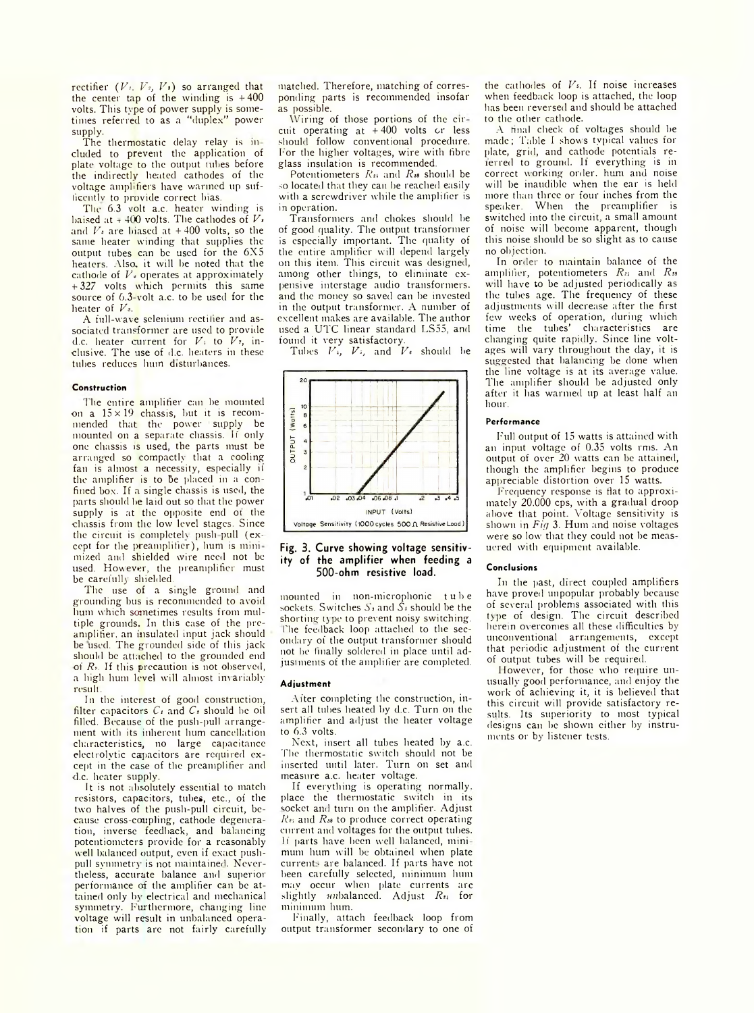rectifier *{Vt, Vs, Vs)* so arranged that the center tap of the winding is  $+400$ volts. This type of power supply is sometimes referred to as a "duplex" power supply.

The thermostatic delay relay is in cluded to prevent the application of plate voltage to the output tubes before the indirectly heated cathodes of the voltage amplifiers have wanned up suffiecntlv to provide correct bias.

The 6.3 volt a.c. heater winding is baised at  $\overline{\tau}$  400 volts. The cathodes of  $V_i$ and  $V<sub>s</sub>$  are biased at  $+400$  volts, so the same heater winding that supplies the output tubes can be used for the 6X5 heaters. Also, it will be noted that the cathode of  $V_{\nu}$  operates at approximately +327 volts which permits this same source of 6.3-volt a.c. to be used for the heater of *Vs.*

A full-wave selenium rectifier and associated transformer are used to provide d.c. heater current for *Vi* to *Vs,* inclusive. The use of d.c. heaters in these tubes reduces hum disturbances.

#### **Construction**

The entire amplifier can be mounted on a  $15 \times 19$  chassis, but it is recommended that the power supply be mounted on a separate chassis, li only one chassis is used, the parts must be arranged so compactly that a cooling fan is almost a necessity, especially if the amplifier is to Be placed in a confined box. If a single chassis is used, the parts should be laid out so that the power supply is at the opposite end of the chassis from the low level stages. Since the circuit is completely push-pull (except for the preamplifier), hum is mini mized and shielded wire need not be used. However, the preamplifier must be carefully shielded.

The use of a single ground and grounding bus is recommended to avoid hum which sometimes results from multiple grounds. In this case of the preamplifier, an insulated input jack should be used. The grounded side of this jack should be attached to the grounded end of  $R<sub>n</sub>$ . If this precaution is not observed, a high hum level will almost invariably result.

In the interest of good construction, filter capacitors  $C_1$  and  $C_2$  should be oil filled. Because of the push-pull arrangement with its inherent hum cancellation characteristics, no large capacitance electrolytic capacitors are required except in the case of the preamplifier and d.c. heater supply.

It is not absolutely essential to match resistors, capacitors, tubes, etc., oi the two halves of the push-pull circuit, because cross-coupling, cathode degeneration, inverse feedback, and balancing potentiometers provide for a reasonably well balanced output, even if exact pushpull symmetry is not maintained. Nevertheless, accurate balance and superior performance of the amplifier can be attained only by electrical and mechanical symmetry. Furthermore, changing line voltage will result in unbalanced operation if parts are not fairly carefully matched. Therefore, matching of corresponding parts is recommended insofar as possible.

Wiring of those portions of the cir cuit operating at + 400 volts or less should follow conventional procedure. For the higher voltages, wire with fibre glass insulation is recommended.

Potentiometers *Ra* and *Rss* should be so located that they can be reached easily with a screwdriver while the amplifier is in operation.

Transformers and chokes should be of good quality. The output transformer is especially important. The quality of the entire amplifier will depend largely on this item. This circuit was designed, among other things, to eliminate expensive interstage audio transformers, and the money so saved can be invested in the output transformer. A number of excellent makes are available. The author used a UTC linear standard LS55, and found it very satisfactory.

Tubes  $V_i$ ,  $V_j$ , and  $V_j$  should be





mounted in non-microphonic tube sockets. Switches  $S_3$  and  $\tilde{S_4}$  should be the shorting type to prevent noisy switching. The feedback loop attached to the secondary of the output transformer should not be finally soldered in place until adjustments of the amplifier are completed.

#### **Adjustm ent**

After completing the construction, insert all tubes heated by d.c. Turn on the amplifier and adjust the heater voltage to 6.3 volts.

Next, insert all tubes heated by a.c. The thermostatic switch should not be inserted until later. Turn on set and measure a.c. heater voltage.

If everything is operating normally, place the thermostatic switch in its socket and turn on the amplifier. Adjust *Hu* and *Rss* to produce correct operating current and voltages for the output tubes. If parts have been well balanced, mini mum hum will be obtained when plate currents are balanced. If parts have not been carefully selected, minimum hum may occur when plate currents arc slightly imbalanced. Adjust *Ru* for minimum hum.

Finally, attach feedback loop from output transformer secondary to one of the cathodes of  $V<sub>s</sub>$ . If noise increases when feedback loop is attached, the loop has been reversed and should be attached to the other cathode.

A final check of voltages should be made; Table I shows typical values for plate, grid, and cathode potentials reicrred to ground. If everything is in correct working order, hum and noise will be inaudible when the ear is held more than three or four inches from the speaker. When the preamplifier is switched into the circuit, a small amount of noise will become apparent, though this noise should be so slight as to cause no ob jection.

In order to maintain balance of the amplifier, potentiometers *Ra* and *Rss* will have to be adjusted periodically as the tubes age. The frequency of these adjustments will decrease after the first few weeks of operation, during which time the tubes' characteristics are changing quite rapidly. Since line voltages will vary throughout the day, it is suggested that balancing be done when the line voltage is at its average value. The amplifier should be adjusted only after it has warmed up at least half an hour.

#### **Performance**

Full output of 15 watts is attained with an input voltage of 0.35 volts rms. An output of over 20 watts can be attained, though the amplifier begins to produce appreciable distortion over 15 watts.

F'requency response is flat to approximately 20.000 cps, with a gradual droop above that point. Voltage sensitivity is shown in *Fig* 3. Hum and noise voltages were so low that they could not be meas uered with equipment available.

#### **Conclusions**

In the past, direct coupled amplifiers have proved unpopular probably because of several problems associated with this type of design. The circuit described herein overcomes all these difficulties by unconventional arrangements, except that periodic adjustment of the current of output tubes will be required.

However, for those who require unusually good performance, and enjoy the work of achieving it, it is believed that this circuit will provide satisfactory results. Its superiority to most typical designs can be shown either by instruments or by listener tests.